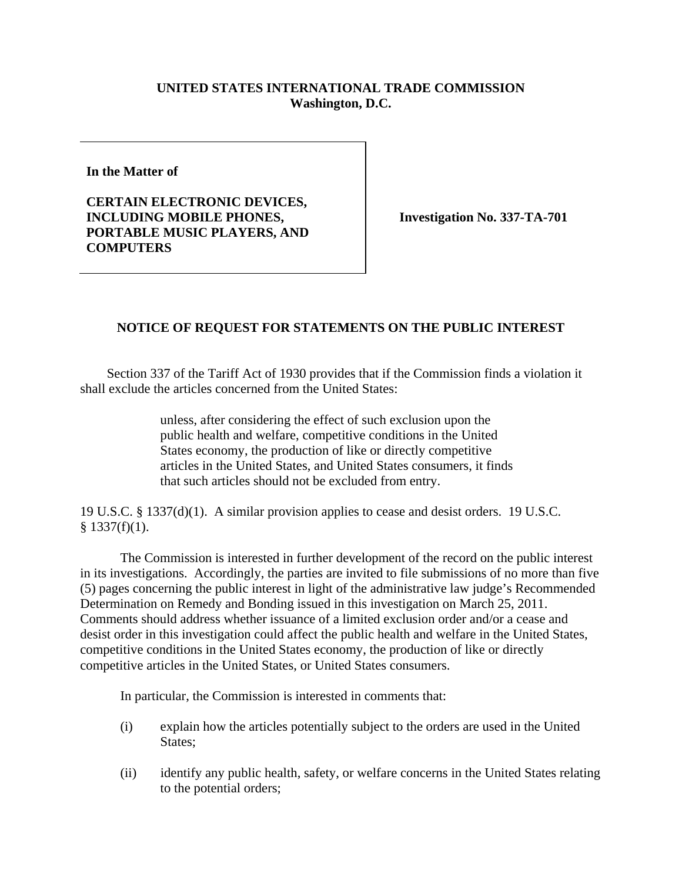## **UNITED STATES INTERNATIONAL TRADE COMMISSION Washington, D.C.**

**In the Matter of** 

**CERTAIN ELECTRONIC DEVICES, INCLUDING MOBILE PHONES, PORTABLE MUSIC PLAYERS, AND COMPUTERS** 

**Investigation No. 337-TA-701** 

## **NOTICE OF REQUEST FOR STATEMENTS ON THE PUBLIC INTEREST**

 Section 337 of the Tariff Act of 1930 provides that if the Commission finds a violation it shall exclude the articles concerned from the United States:

> unless, after considering the effect of such exclusion upon the public health and welfare, competitive conditions in the United States economy, the production of like or directly competitive articles in the United States, and United States consumers, it finds that such articles should not be excluded from entry.

19 U.S.C. § 1337(d)(1). A similar provision applies to cease and desist orders. 19 U.S.C.  $§$  1337(f)(1).

 The Commission is interested in further development of the record on the public interest in its investigations. Accordingly, the parties are invited to file submissions of no more than five (5) pages concerning the public interest in light of the administrative law judge's Recommended Determination on Remedy and Bonding issued in this investigation on March 25, 2011. Comments should address whether issuance of a limited exclusion order and/or a cease and desist order in this investigation could affect the public health and welfare in the United States, competitive conditions in the United States economy, the production of like or directly competitive articles in the United States, or United States consumers.

In particular, the Commission is interested in comments that:

- (i) explain how the articles potentially subject to the orders are used in the United States:
- (ii) identify any public health, safety, or welfare concerns in the United States relating to the potential orders;